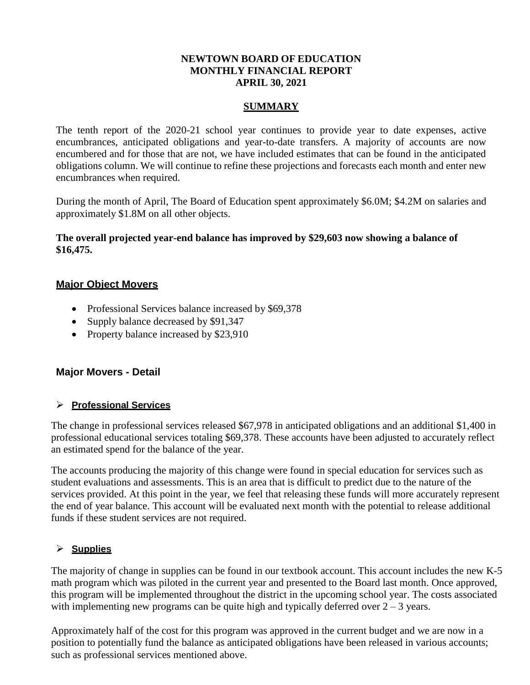## **NEWTOWN BOARD OF EDUCATION MONTHLY FINANCIAL REPORT APRIL 30, 2021**

### **SUMMARY**

The tenth report of the 2020-21 school year continues to provide year to date expenses, active encumbrances, anticipated obligations and year-to-date transfers. A majority of accounts are now encumbered and for those that are not, we have included estimates that can be found in the anticipated obligations column. We will continue to refine these projections and forecasts each month and enter new encumbrances when required.

During the month of April, The Board of Education spent approximately \$6.0M; \$4.2M on salaries and approximately \$1.8M on all other objects.

## **The overall projected year-end balance has improved by \$29,603 now showing a balance of \$16,475.**

## **Major Object Movers**

- Professional Services balance increased by \$69,378
- Supply balance decreased by \$91,347
- Property balance increased by \$23,910

### **Major Movers - Detail**

### **Professional Services**

The change in professional services released \$67,978 in anticipated obligations and an additional \$1,400 in professional educational services totaling \$69,378. These accounts have been adjusted to accurately reflect an estimated spend for the balance of the year.

The accounts producing the majority of this change were found in special education for services such as student evaluations and assessments. This is an area that is difficult to predict due to the nature of the services provided. At this point in the year, we feel that releasing these funds will more accurately represent the end of year balance. This account will be evaluated next month with the potential to release additional funds if these student services are not required.

### **Supplies**

The majority of change in supplies can be found in our textbook account. This account includes the new K-5 math program which was piloted in the current year and presented to the Board last month. Once approved, this program will be implemented throughout the district in the upcoming school year. The costs associated with implementing new programs can be quite high and typically deferred over  $2 - 3$  years.

Approximately half of the cost for this program was approved in the current budget and we are now in a position to potentially fund the balance as anticipated obligations have been released in various accounts; such as professional services mentioned above.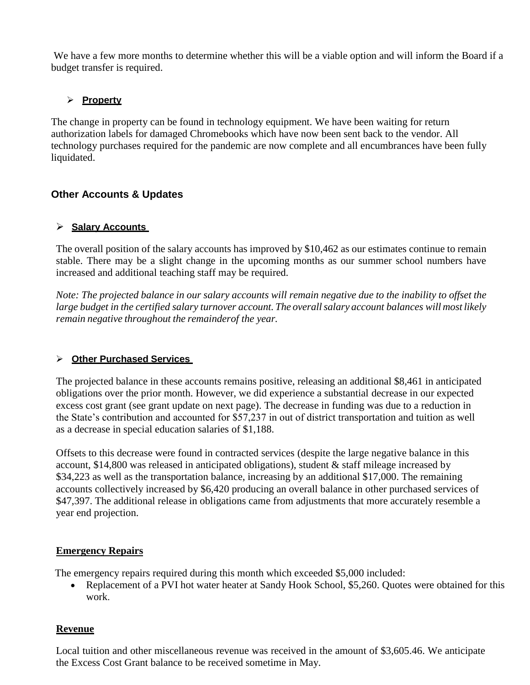We have a few more months to determine whether this will be a viable option and will inform the Board if a budget transfer is required.

# **Property**

The change in property can be found in technology equipment. We have been waiting for return authorization labels for damaged Chromebooks which have now been sent back to the vendor. All technology purchases required for the pandemic are now complete and all encumbrances have been fully liquidated.

# **Other Accounts & Updates**

## **Salary Accounts**

The overall position of the salary accounts has improved by \$10,462 as our estimates continue to remain stable. There may be a slight change in the upcoming months as our summer school numbers have increased and additional teaching staff may be required.

*Note: The projected balance in our salary accounts will remain negative due to the inability to offset the large budget in the certified salary turnover account. The overallsalary account balances will most likely remain negative throughout the remainderof the year.*

# **Other Purchased Services**

The projected balance in these accounts remains positive, releasing an additional \$8,461 in anticipated obligations over the prior month. However, we did experience a substantial decrease in our expected excess cost grant (see grant update on next page). The decrease in funding was due to a reduction in the State's contribution and accounted for \$57,237 in out of district transportation and tuition as well as a decrease in special education salaries of \$1,188.

Offsets to this decrease were found in contracted services (despite the large negative balance in this account, \$14,800 was released in anticipated obligations), student & staff mileage increased by \$34,223 as well as the transportation balance, increasing by an additional \$17,000. The remaining accounts collectively increased by \$6,420 producing an overall balance in other purchased services of \$47,397. The additional release in obligations came from adjustments that more accurately resemble a year end projection.

# **Emergency Repairs**

The emergency repairs required during this month which exceeded \$5,000 included:

• Replacement of a PVI hot water heater at Sandy Hook School, \$5,260. Quotes were obtained for this work.

# **Revenue**

Local tuition and other miscellaneous revenue was received in the amount of \$3,605.46. We anticipate the Excess Cost Grant balance to be received sometime in May.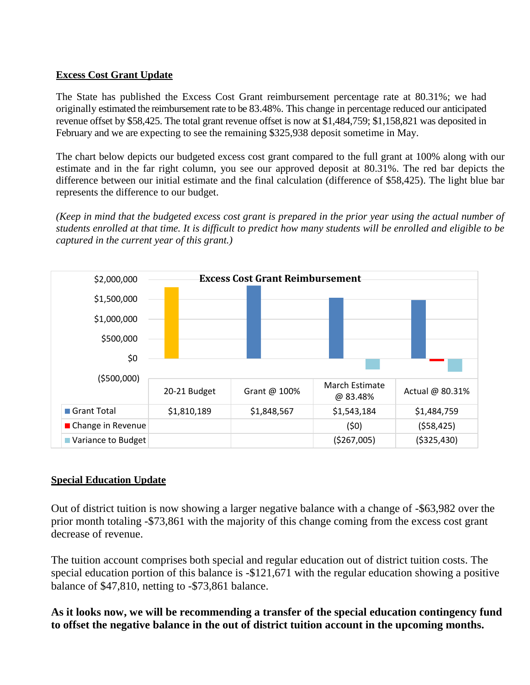# **Excess Cost Grant Update**

The State has published the Excess Cost Grant reimbursement percentage rate at 80.31%; we had originally estimated the reimbursement rate to be 83.48%. This change in percentage reduced our anticipated revenue offset by \$58,425. The total grant revenue offset is now at \$1,484,759; \$1,158,821 was deposited in February and we are expecting to see the remaining \$325,938 deposit sometime in May.

The chart below depicts our budgeted excess cost grant compared to the full grant at 100% along with our estimate and in the far right column, you see our approved deposit at 80.31%. The red bar depicts the difference between our initial estimate and the final calculation (difference of \$58,425). The light blue bar represents the difference to our budget.

*(Keep in mind that the budgeted excess cost grant is prepared in the prior year using the actual number of students enrolled at that time. It is difficult to predict how many students will be enrolled and eligible to be captured in the current year of this grant.)*



# **Special Education Update**

Out of district tuition is now showing a larger negative balance with a change of -\$63,982 over the prior month totaling -\$73,861 with the majority of this change coming from the excess cost grant decrease of revenue.

The tuition account comprises both special and regular education out of district tuition costs. The special education portion of this balance is -\$121,671 with the regular education showing a positive balance of \$47,810, netting to -\$73,861 balance.

**As it looks now, we will be recommending a transfer of the special education contingency fund to offset the negative balance in the out of district tuition account in the upcoming months.**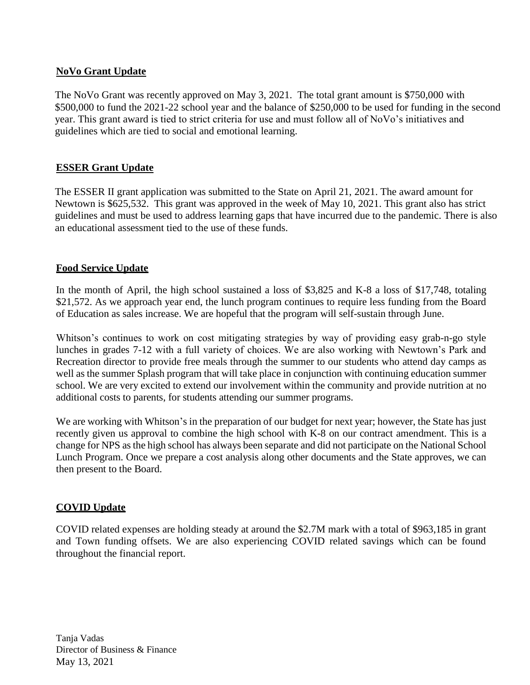# **NoVo Grant Update**

The NoVo Grant was recently approved on May 3, 2021. The total grant amount is \$750,000 with \$500,000 to fund the 2021-22 school year and the balance of \$250,000 to be used for funding in the second year. This grant award is tied to strict criteria for use and must follow all of NoVo's initiatives and guidelines which are tied to social and emotional learning.

# **ESSER Grant Update**

The ESSER II grant application was submitted to the State on April 21, 2021. The award amount for Newtown is \$625,532. This grant was approved in the week of May 10, 2021. This grant also has strict guidelines and must be used to address learning gaps that have incurred due to the pandemic. There is also an educational assessment tied to the use of these funds.

# **Food Service Update**

In the month of April, the high school sustained a loss of \$3,825 and K-8 a loss of \$17,748, totaling \$21,572. As we approach year end, the lunch program continues to require less funding from the Board of Education as sales increase. We are hopeful that the program will self-sustain through June.

Whitson's continues to work on cost mitigating strategies by way of providing easy grab-n-go style lunches in grades 7-12 with a full variety of choices. We are also working with Newtown's Park and Recreation director to provide free meals through the summer to our students who attend day camps as well as the summer Splash program that will take place in conjunction with continuing education summer school. We are very excited to extend our involvement within the community and provide nutrition at no additional costs to parents, for students attending our summer programs.

We are working with Whitson's in the preparation of our budget for next year; however, the State has just recently given us approval to combine the high school with K-8 on our contract amendment. This is a change for NPS as the high school has always been separate and did not participate on the National School Lunch Program. Once we prepare a cost analysis along other documents and the State approves, we can then present to the Board.

# **COVID Update**

COVID related expenses are holding steady at around the \$2.7M mark with a total of \$963,185 in grant and Town funding offsets. We are also experiencing COVID related savings which can be found throughout the financial report.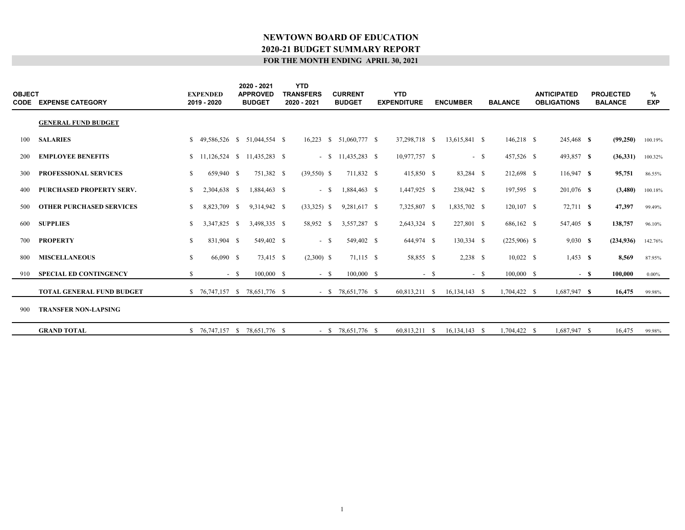| <b>OBJECT</b><br>CODE | <b>EXPENSE CATEGORY</b>          |    | <b>EXPENDED</b><br>2019 - 2020 |        | 2020 - 2021<br><b>APPROVED</b><br><b>BUDGET</b> | <b>YTD</b><br><b>TRANSFERS</b><br>2020 - 2021 | <b>CURRENT</b><br><b>BUDGET</b> | <b>YTD</b><br><b>EXPENDITURE</b> |        | <b>ENCUMBER</b> |        | <b>BALANCE</b> | <b>ANTICIPATED</b><br><b>OBLIGATIONS</b> |        | <b>PROJECTED</b><br><b>BALANCE</b> | %<br><b>EXP</b> |  |
|-----------------------|----------------------------------|----|--------------------------------|--------|-------------------------------------------------|-----------------------------------------------|---------------------------------|----------------------------------|--------|-----------------|--------|----------------|------------------------------------------|--------|------------------------------------|-----------------|--|
|                       | <b>GENERAL FUND BUDGET</b>       |    |                                |        |                                                 |                                               |                                 |                                  |        |                 |        |                |                                          |        |                                    |                 |  |
| 100                   | <b>SALARIES</b>                  | S. |                                |        | 49.586.526 \$ 51.044.554 \$                     | 16.223                                        | $$51,060,777$ \$                | 37,298,718 \$                    |        | 13,615,841 \$   |        | 146,218 \$     | 245,468 \$                               |        | (99,250)                           | 100.19%         |  |
| 200                   | <b>EMPLOYEE BENEFITS</b>         |    |                                |        | $$11,126,524 \quad $11,435,283 \quad $$         |                                               | $-$ \$ 11,435,283 \$            | 10,977,757 \$                    |        |                 | $-$ \$ | 457,526 \$     | 493,857 \$                               |        | (36,331)                           | 100.32%         |  |
| 300                   | <b>PROFESSIONAL SERVICES</b>     | \$ | 659,940 \$                     |        | 751,382 \$                                      | $(39,550)$ \$                                 | 711,832 \$                      | 415,850 \$                       |        | 83,284 \$       |        | 212,698 \$     | $116,947$ \$                             |        | 95,751                             | 86.55%          |  |
|                       | PURCHASED PROPERTY SERV.         | \$ | 2,304,638 \$                   |        | 1,884,463 \$                                    | $-$ \$                                        | 1,884,463 \$                    | 1,447,925 \$                     |        | 238,942 \$      |        | 197,595 \$     | 201,076 \$                               |        | (3,480)                            | 100.18%         |  |
| 500                   | <b>OTHER PURCHASED SERVICES</b>  | \$ | 8,823,709                      | - S    | 9,314,942 \$                                    | $(33,325)$ \$                                 | 9,281,617 \$                    | 7,325,807 \$                     |        | 1,835,702 \$    |        | $120,107$ \$   | 72,711 \$                                |        | 47,397                             | 99.49%          |  |
| 600                   | <b>SUPPLIES</b>                  | S  | 3,347,825 \$                   |        | 3,498,335 \$                                    | 58,952 \$                                     | 3,557,287 \$                    | 2,643,324 \$                     |        | 227,801 \$      |        | 686,162 \$     | 547,405 \$                               |        | 138,757                            | 96.10%          |  |
| 700                   | <b>PROPERTY</b>                  | \$ | 831,904 \$                     |        | 549,402 \$                                      | $-$ \$                                        | 549,402 \$                      | 644,974 \$                       |        | 130,334 \$      |        | $(225,906)$ \$ | 9,030 S                                  |        | (234, 936)                         | 142.76%         |  |
| 800                   | <b>MISCELLANEOUS</b>             | \$ | 66,090 \$                      |        | 73,415 \$                                       | $(2,300)$ \$                                  | 71,115 \$                       | 58,855 \$                        |        | $2,238$ \$      |        | $10,022$ \$    | $1,453$ \$                               |        | 8,569                              | 87.95%          |  |
| 910                   | <b>SPECIAL ED CONTINGENCY</b>    | \$ |                                | $-$ \$ | $100,000$ \$                                    | $-$ \$                                        | $100,000$ \$                    |                                  | $-$ \$ |                 | $- S$  | $100,000$ \$   |                                          | $-$ \$ | 100,000                            | $0.00\%$        |  |
|                       | <b>TOTAL GENERAL FUND BUDGET</b> |    |                                |        | \$ 76,747,157 \$ 78,651,776 \$                  |                                               | $-$ \$ 78,651,776 \$            | 60,813,211 \$                    |        | $16,134,143$ \$ |        | 1,704,422 \$   | 1,687,947 \$                             |        | 16,475                             | 99.98%          |  |
| 900                   | <b>TRANSFER NON-LAPSING</b>      |    |                                |        |                                                 |                                               |                                 |                                  |        |                 |        |                |                                          |        |                                    |                 |  |
|                       | <b>GRAND TOTAL</b>               |    | $$76,747,157$ \, S             |        | 78,651,776 \$                                   |                                               | $-$ \$ 78,651,776 \$            | 60,813,211 \$                    |        | 16,134,143 \$   |        | 1,704,422 \$   | 1,687,947 \$                             |        | 16,475                             | 99.98%          |  |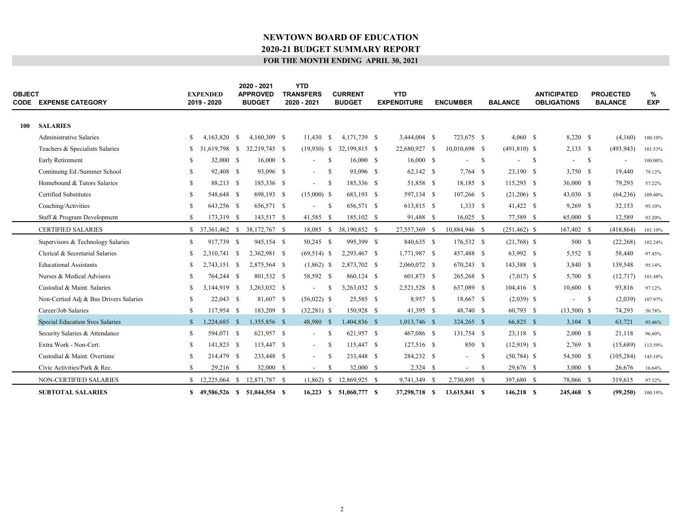| <b>OBJECT</b> | <b>CODE EXPENSE CATEGORY</b>           |              | <b>EXPENDED</b><br>2019 - 2020 |    | 2020 - 2021<br><b>APPROVED</b><br><b>BUDGET</b> | <b>YTD</b><br><b>TRANSFERS</b><br>2020 - 2021 |               | <b>CURRENT</b><br><b>BUDGET</b> | <b>YTD</b><br><b>EXPENDITURE</b> | <b>ENCUMBER</b>          |      | <b>BALANCE</b>  |     | <b>ANTICIPATED</b><br><b>OBLIGATIONS</b> |      | <b>PROJECTED</b><br><b>BALANCE</b> | %<br><b>EXP</b> |  |
|---------------|----------------------------------------|--------------|--------------------------------|----|-------------------------------------------------|-----------------------------------------------|---------------|---------------------------------|----------------------------------|--------------------------|------|-----------------|-----|------------------------------------------|------|------------------------------------|-----------------|--|
| 100           | <b>SALARIES</b>                        |              |                                |    |                                                 |                                               |               |                                 |                                  |                          |      |                 |     |                                          |      |                                    |                 |  |
|               | <b>Administrative Salaries</b>         | \$.          | 4,163,820                      | -S | 4,160,309 \$                                    | 11,430                                        | -S            | 4,171,739 \$                    | 3,444,004 \$                     | 723,675 \$               |      | $4,060$ \$      |     | 8,220 \$                                 |      | (4,160)                            | 100.10%         |  |
|               | Teachers & Specialists Salaries        | S            | 31.619.798                     | -S | 32,219,745 \$                                   | $(19,930)$ \$                                 |               | 32,199,815 \$                   | 22,680,927 \$                    | 10,010,698 \$            |      | $(491,810)$ \$  |     | $2,133$ \$                               |      | (493, 943)                         | 101.53%         |  |
|               | Early Retirement                       | S            | 32,000 \$                      |    | 16,000 S                                        | $\sim$                                        | -S            | 16,000 S                        | 16,000 S                         | $\overline{\phantom{0}}$ | -S   |                 | - S | $\overline{\phantom{a}}$                 | - S  | $\overline{\phantom{a}}$           | 100.00%         |  |
|               | Continuing Ed./Summer School           | \$.          | 92,408 \$                      |    | 93,096 \$                                       | $\blacksquare$                                | -S            | 93,096 \$                       | 62,142 \$                        | $7,764$ \$               |      | 23,190 \$       |     | 3.750 \$                                 |      | 19.440                             | 79.12%          |  |
|               | Homebound & Tutors Salaries            | \$.          | 88,213 \$                      |    | 185,336 \$                                      |                                               |               |                                 |                                  | 18,185 \$                |      |                 |     | 36,000 S                                 |      | 79,293                             |                 |  |
|               | <b>Certified Substitutes</b>           | \$.          |                                |    | 698,193 \$                                      | $\overline{\phantom{a}}$                      | -S            | 185,336 \$<br>683,193 \$        | 51,858 \$                        |                          |      | 115,293 \$      |     |                                          |      |                                    | 57.22%          |  |
|               |                                        |              | 548,648 \$                     |    |                                                 | $(15,000)$ \$                                 |               | 656,571 \$                      | 597,134 \$                       | $107,266$ \$<br>1,333S   |      | $(21,206)$ \$   |     | $43,030$ \$                              |      | (64, 236)                          | 109.40%         |  |
|               | Coaching/Activities                    | \$.          | 643,256 \$                     |    | 656,571 \$                                      |                                               | -S            |                                 | 613,815 \$                       |                          |      | 41,422 \$       |     | $9,269$ \$                               |      | 32,153                             | 95.10%          |  |
|               | Staff & Program Development            | S            | 173,319 \$                     |    | 143,517 \$                                      | 41,585 \$                                     |               | 185,102 \$                      | 91,488 \$                        | $16,025$ \$              |      | 77,589 \$       |     | 65,000 \$                                |      | 12,589                             | 93.20%          |  |
|               | <b>CERTIFIED SALARIES</b>              |              | $$37,361,462$ \$               |    | 38,172,767 \$                                   | 18,085                                        |               | $$38,190,852$ \$                | 27,557,369 \$                    | 10,884,946 \$            |      | $(251, 462)$ \$ |     | 167,402 \$                               |      | (418, 864)                         | 101.10%         |  |
|               | Supervisors & Technology Salaries      | \$           | 917,739 \$                     |    | 945,154 \$                                      | 50,245 \$                                     |               | 995,399 \$                      | 840,635 \$                       | 176,532 \$               |      | $(21,768)$ \$   |     | 500 \$                                   |      | (22, 268)                          | 102.24%         |  |
|               | Clerical & Secretarial Salaries        | \$.          | 2.310.741 \$                   |    | 2,362,981 \$                                    | $(69,514)$ \$                                 |               | 2,293,467 \$                    | 1,771,987 \$                     | 457,488 \$               |      | 63,992 \$       |     | 5,552 \$                                 |      | 58,440                             | 97.45%          |  |
|               | <b>Educational Assistants</b>          | S            | 2.743.151 \$                   |    | 2,875,564 \$                                    | $(1,862)$ \$                                  |               | 2,873,702 \$                    | 2,060,072 \$                     | 670,243 \$               |      | 143,388 \$      |     | 3,840 \$                                 |      | 139,548                            | 95.14%          |  |
|               | Nurses & Medical Advisors              | S            | 764,244 \$                     |    | 801,532 \$                                      | 58,592 \$                                     |               | 860,124 \$                      | 601,873 \$                       | 265,268 \$               |      | $(7,017)$ \$    |     | 5,700 \$                                 |      | (12,717)                           | 101.48%         |  |
|               | Custodial & Maint. Salaries            | \$.          | 3,144,919 \$                   |    | 3,263,032 \$                                    |                                               | -8            | 3,263,032 \$                    | 2,521,528 \$                     | 637,089 \$               |      | $104,416$ \$    |     | 10,600 S                                 |      | 93,816                             | 97.12%          |  |
|               | Non-Certied Adj & Bus Drivers Salaries | \$.          | $22,043$ \$                    |    | 81,607 \$                                       | $(56,022)$ \$                                 |               | 25,585 \$                       | 8,957 \$                         | 18,667 \$                |      | $(2,039)$ \$    |     | $\overline{\phantom{a}}$                 | - \$ | (2,039)                            | 107.97%         |  |
|               | Career/Job Salaries                    | \$.          | 117,954 \$                     |    | 183,209 \$                                      | $(32,281)$ \$                                 |               | 150,928 \$                      | 41,395 \$                        | 48,740 \$                |      | 60,793 \$       |     | $(13,500)$ \$                            |      | 74,293                             | 50.78%          |  |
|               | Special Education Svcs Salaries        | $\mathbb{S}$ | 1,224,685 \$                   |    | 1,355,856 \$                                    | 48,980 \$                                     |               | 1,404,836 \$                    | $1,013,746$ \$                   | 324,265 \$               |      | 66,825 \$       |     | $3,104$ \$                               |      | 63,721                             | 95.46%          |  |
|               | Security Salaries & Attendance         | S            | 594,071 \$                     |    | 621,957 \$                                      | $\sim$                                        | -S            | 621,957 \$                      | 467,086 \$                       | 131,754 \$               |      | 23,118 \$       |     | $2,000$ \$                               |      | 21,118                             | 96.60%          |  |
|               | Extra Work - Non-Cert.                 | S            | 141,823 \$                     |    | 115,447 \$                                      | $\sim$                                        | -8            | 115,447 \$                      | 127,516 \$                       | 850 \$                   |      | $(12,919)$ \$   |     | $2,769$ \$                               |      | (15,689)                           | 113.59%         |  |
|               | Custodial & Maint. Overtime            | \$.          | 214,479 \$                     |    | 233,448 \$                                      | $\overline{\phantom{a}}$                      | -S            | 233,448 \$                      | 284,232 \$                       | $\sim$                   | - \$ | $(50, 784)$ \$  |     | 54,500 \$                                |      | (105, 284)                         | 145.10%         |  |
|               | Civic Activities/Park & Rec.           | \$           | 29,216 \$                      |    | 32,000 \$                                       | $\overline{\phantom{a}}$                      | <sup>\$</sup> | 32,000 \$                       | $2,324$ \$                       | $\overline{\phantom{a}}$ | -S   | 29,676 \$       |     | 3,000 S                                  |      | 26,676                             | 16.64%          |  |
|               | NON-CERTIFIED SALARIES                 |              | 12,225,064 \$                  |    | 12,871,787 \$                                   | (1,862)                                       | <sup>\$</sup> | 12,869,925 \$                   | 9,741,349 \$                     | 2,730,895 \$             |      | 397,680 \$      |     | 78,066 \$                                |      | 319,615                            | 97.52%          |  |
|               | <b>SUBTOTAL SALARIES</b>               | \$           |                                |    | 49.586.526 \$ 51.044.554 \$                     | 16,223                                        | S.            | 51,060,777 \$                   | 37,298,718 \$                    | 13.615.841 \$            |      | 146.218 \$      |     | 245,468 \$                               |      | (99,250)                           | 100.19%         |  |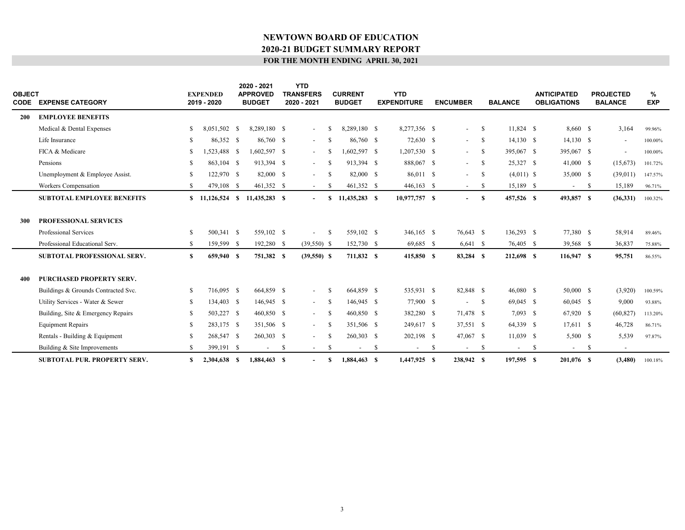|            | <b>OBJECT</b><br><b>CODE EXPENSE CATEGORY</b> |               | <b>EXPENDED</b><br>2019 - 2020 |      | 2020 - 2021<br><b>APPROVED</b><br><b>BUDGET</b> |    | <b>YTD</b><br><b>TRANSFERS</b><br>2020 - 2021 |               | <b>CURRENT</b><br><b>BUDGET</b> |    | <b>YTD</b><br><b>EXPENDITURE</b> |    | <b>ENCUMBER</b>          |      | <b>BALANCE</b> |    | <b>ANTICIPATED</b><br><b>OBLIGATIONS</b> |      | <b>PROJECTED</b><br><b>BALANCE</b> | ℅<br><b>EXP</b> |  |
|------------|-----------------------------------------------|---------------|--------------------------------|------|-------------------------------------------------|----|-----------------------------------------------|---------------|---------------------------------|----|----------------------------------|----|--------------------------|------|----------------|----|------------------------------------------|------|------------------------------------|-----------------|--|
| <b>200</b> | <b>EMPLOYEE BENEFITS</b>                      |               |                                |      |                                                 |    |                                               |               |                                 |    |                                  |    |                          |      |                |    |                                          |      |                                    |                 |  |
|            | Medical & Dental Expenses                     | S.            | 8,051,502                      | - \$ | 8,289,180 \$                                    |    | $\overline{\phantom{a}}$                      | S             | 8,289,180 \$                    |    | 8,277,356 \$                     |    | $\overline{\phantom{a}}$ | -S   | 11,824 \$      |    | 8,660 \$                                 |      | 3,164                              | 99.96%          |  |
|            | Life Insurance                                | -S            | 86,352 \$                      |      | 86,760 \$                                       |    | $\sim$                                        | -S            | 86,760 \$                       |    | 72,630 \$                        |    | $\overline{\phantom{a}}$ | -S   | $14,130$ \$    |    | $14,130$ \$                              |      |                                    | 100.00%         |  |
|            | FICA & Medicare                               | S             | 1.523.488                      | - \$ | 1.602.597 \$                                    |    | $\sim$                                        | -S            | $1.602,597$ \$                  |    | $1,207,530$ \$                   |    | $\overline{\phantom{a}}$ | -S   | 395,067 \$     |    | 395,067 \$                               |      | $\overline{\phantom{a}}$           | 100.00%         |  |
|            | Pensions                                      | -S            | 863,104                        | - \$ | 913,394 \$                                      |    | $\sim$                                        | -S            | 913.394 \$                      |    | 888,067 \$                       |    | $ \,$                    | -S   | 25,327 \$      |    | $41,000$ \$                              |      | (15,673)                           | 101.72%         |  |
|            | Unemployment & Employee Assist.               | \$            | 122,970 \$                     |      | 82,000 \$                                       |    | $\sim$                                        | <sup>\$</sup> | 82,000 \$                       |    | 86,011 \$                        |    | $\overline{\phantom{a}}$ | -S   | $(4.011)$ \$   |    | 35,000 \$                                |      | (39,011)                           | 147.57%         |  |
|            | Workers Compensation                          | \$            | 479,108                        | - \$ | 461,352 \$                                      |    | $\sim$                                        | -S            | 461,352 \$                      |    | $446,163$ \$                     |    | $\sim$                   | - \$ | 15,189 \$      |    | $\overline{\phantom{a}}$                 | - \$ | 15,189                             | 96.71%          |  |
|            | <b>SUBTOTAL EMPLOYEE BENEFITS</b>             |               |                                |      | 11,435,283 \$                                   |    | $\blacksquare$                                | S.            | 11,435,283 \$                   |    | 10,977,757 \$                    |    |                          | S    | 457,526 \$     |    | 493,857 \$                               |      | (36,331)                           | 100.32%         |  |
|            |                                               |               |                                |      |                                                 |    |                                               |               |                                 |    |                                  |    |                          |      |                |    |                                          |      |                                    |                 |  |
| 300        | <b>PROFESSIONAL SERVICES</b>                  |               |                                |      |                                                 |    |                                               |               |                                 |    |                                  |    |                          |      |                |    |                                          |      |                                    |                 |  |
|            | Professional Services                         | -S            | 500,341 \$                     |      | 559,102 \$                                      |    | $\overline{\phantom{a}}$                      | -S            | 559,102 \$                      |    | 346,165 \$                       |    | 76,643 \$                |      | 136,293 \$     |    | 77,380 \$                                |      | 58,914                             | 89.46%          |  |
|            | Professional Educational Serv.                | <sup>S</sup>  | 159,599 \$                     |      | 192,280 \$                                      |    | $(39,550)$ \$                                 |               | 152,730 \$                      |    | 69,685 \$                        |    | $6,641$ \$               |      | 76,405 \$      |    | 39,568 \$                                |      | 36,837                             | 75.88%          |  |
|            | <b>SUBTOTAL PROFESSIONAL SERV.</b>            | <sup>S</sup>  | 659,940 \$                     |      | 751,382 \$                                      |    | $(39,550)$ \$                                 |               | 711,832 \$                      |    | 415,850 \$                       |    | 83,284 \$                |      | 212,698 \$     |    | $116,947$ \$                             |      | 95,751                             | 86.55%          |  |
|            |                                               |               |                                |      |                                                 |    |                                               |               |                                 |    |                                  |    |                          |      |                |    |                                          |      |                                    |                 |  |
| 400        | <b>PURCHASED PROPERTY SERV.</b>               |               |                                |      |                                                 |    |                                               |               |                                 |    |                                  |    |                          |      |                |    |                                          |      |                                    |                 |  |
|            | Buildings & Grounds Contracted Svc.           | -S            | 716,095 \$                     |      | 664,859 \$                                      |    | $\sim$                                        | S             | 664,859 \$                      |    | 535,931 \$                       |    | 82,848 \$                |      | $46,080$ \$    |    | 50,000 \$                                |      | (3,920)                            | 100.59%         |  |
|            | Utility Services - Water & Sewer              | \$            | 134,403 \$                     |      | 146,945 \$                                      |    | $\sim$                                        | -S            | 146,945 \$                      |    | 77,900 \$                        |    | $\blacksquare$           | -S   | 69,045 \$      |    | 60,045 \$                                |      | 9,000                              | 93.88%          |  |
|            | Building, Site & Emergency Repairs            | \$            | 503,227 \$                     |      | 460,850 \$                                      |    | $\sim$                                        | -S            | 460,850 \$                      |    | 382,280 \$                       |    | 71,478 \$                |      | $7,093$ \$     |    | 67,920 \$                                |      | (60, 827)                          | 113.20%         |  |
|            | <b>Equipment Repairs</b>                      | \$            | 283,175 \$                     |      | 351,506 \$                                      |    | $\sim$                                        | -S            | 351,506 \$                      |    | 249,617 \$                       |    | 37,551 \$                |      | 64,339 \$      |    | $17,611$ \$                              |      | 46,728                             | 86.71%          |  |
|            | Rentals - Building & Equipment                | <sup>\$</sup> | 268,547 \$                     |      | 260,303 \$                                      |    | $\blacksquare$                                | S             | 260,303 \$                      |    | 202,198 \$                       |    | 47,067 \$                |      | $11,039$ \$    |    | 5,500 \$                                 |      | 5,539                              | 97.87%          |  |
|            | Building & Site Improvements                  | S.            | 399,191 \$                     |      | $\overline{\phantom{a}}$                        | -S | $\overline{\phantom{a}}$                      | -S            |                                 | -S |                                  | -S | $\overline{\phantom{a}}$ | -S   | $\sim$         | -S |                                          | -S   |                                    |                 |  |
|            | <b>SUBTOTAL PUR. PROPERTY SERV.</b>           | S             | 2,304,638 \$                   |      | 1.884,463 S                                     |    | $\blacksquare$                                | S.            | 1,884,463 \$                    |    | 1,447,925 \$                     |    | 238,942 S                |      | 197,595 \$     |    | 201.076 S                                |      | (3,480)                            | 100.18%         |  |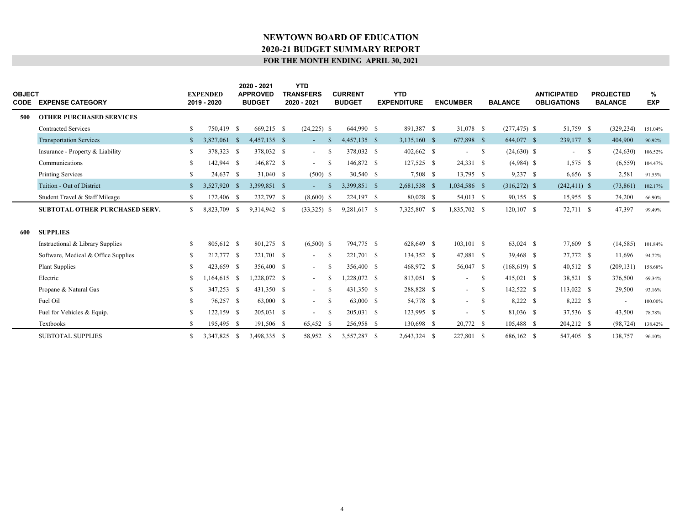| OBJECT<br>CODE | <b>EXPENSE CATEGORY</b>               |              | <b>EXPENDED</b><br>2019 - 2020 |     | 2020 - 2021<br><b>APPROVED</b><br><b>BUDGET</b> | <b>YTD</b><br><b>TRANSFERS</b><br>2020 - 2021 |              | <b>CURRENT</b><br><b>BUDGET</b> | <b>YTD</b><br><b>EXPENDITURE</b> | <b>ENCUMBER</b> |              | <b>BALANCE</b>  | <b>ANTICIPATED</b><br><b>OBLIGATIONS</b> |              | <b>PROJECTED</b><br><b>BALANCE</b> | %<br><b>EXP</b> |  |
|----------------|---------------------------------------|--------------|--------------------------------|-----|-------------------------------------------------|-----------------------------------------------|--------------|---------------------------------|----------------------------------|-----------------|--------------|-----------------|------------------------------------------|--------------|------------------------------------|-----------------|--|
| 500            | <b>OTHER PURCHASED SERVICES</b>       |              |                                |     |                                                 |                                               |              |                                 |                                  |                 |              |                 |                                          |              |                                    |                 |  |
|                | <b>Contracted Services</b>            | \$           | 750,419 \$                     |     | 669,215 \$                                      | $(24,225)$ \$                                 |              | 644,990 \$                      | 891,387 \$                       | 31,078 \$       |              | $(277, 475)$ \$ | 51,759 \$                                |              | (329, 234)                         | 151.04%         |  |
|                | <b>Transportation Services</b>        | $\mathbb{S}$ | 3,827,061                      | -S  | 4,457,135 \$                                    | $\sim$                                        | -8           | 4,457,135 \$                    | 3,135,160 \$                     | 677,898 \$      |              | 644,077 \$      | 239,177 \$                               |              | 404,900                            | 90.92%          |  |
|                | Insurance - Property & Liability      | \$           | 378,323 \$                     |     | 378,032 \$                                      | $\sim$                                        | -S           | 378,032 \$                      | 402,662 \$                       | $\sim$          | $\mathbf{s}$ | $(24,630)$ \$   | $\overline{\phantom{a}}$                 | $\mathbf{s}$ | (24, 630)                          | 106.52%         |  |
|                | Communications                        | S            | 142,944 \$                     |     | 146,872 \$                                      | $\sim 10^{-1}$                                | -S           | 146,872 \$                      | 127,525 \$                       | 24,331 \$       |              | $(4,984)$ \$    | $1,575$ \$                               |              | (6, 559)                           | 104.47%         |  |
|                | <b>Printing Services</b>              | \$           | 24,637 \$                      |     | 31,040 \$                                       | $(500)$ \$                                    |              | 30,540 \$                       | 7,508 \$                         | 13,795 \$       |              | $9,237$ \$      | 6,656 \$                                 |              | 2,581                              | 91.55%          |  |
|                | Tuition - Out of District             | $\mathbb{S}$ | 3,527,920                      | - S | 3,399,851 \$                                    | $\sim$                                        | -8           | 3,399,851 \$                    | 2,681,538 \$                     | 1,034,586 \$    |              | $(316,272)$ \$  | $(242, 411)$ \$                          |              | (73, 861)                          | 102.17%         |  |
|                | Student Travel & Staff Mileage        | \$           | 172,406 \$                     |     | 232,797 \$                                      | $(8,600)$ \$                                  |              | 224,197 \$                      | 80,028 \$                        | 54,013 \$       |              | 90,155 \$       | $15,955$ \$                              |              | 74,200                             | 66.90%          |  |
|                | <b>SUBTOTAL OTHER PURCHASED SERV.</b> | \$           | 8,823,709                      | -S  | 9,314,942 \$                                    | $(33,325)$ \$                                 |              | 9,281,617 \$                    | 7,325,807 \$                     | 1,835,702 \$    |              | $120, 107$ \$   | 72,711 \$                                |              | 47,397                             | 99.49%          |  |
| 600            | <b>SUPPLIES</b>                       |              |                                |     |                                                 |                                               |              |                                 |                                  |                 |              |                 |                                          |              |                                    |                 |  |
|                | Instructional & Library Supplies      | S.           | 805.612 \$                     |     | 801.275 \$                                      | $(6,500)$ \$                                  |              | 794,775 \$                      | 628,649 \$                       | $103.101$ \$    |              | 63,024 \$       | 77,609 \$                                |              | (14, 585)                          | 101.84%         |  |
|                | Software, Medical & Office Supplies   | \$           | 212,777 \$                     |     | 221,701 \$                                      | $\sim$                                        | -S           | 221,701 \$                      | 134,352 \$                       | 47,881 \$       |              | 39,468 \$       | 27,772 \$                                |              | 11,696                             | 94.72%          |  |
|                | <b>Plant Supplies</b>                 | S            | 423,659 \$                     |     | 356,400 \$                                      | $\sim$                                        | -8           | 356,400 \$                      | 468,972 \$                       | 56,047 \$       |              | $(168, 619)$ \$ | 40,512 \$                                |              | (209, 131)                         | 158.68%         |  |
|                | Electric                              | S            | 1.164.615 \$                   |     | 1,228,072 \$                                    | $\sim$                                        | -8           | .228.072 S                      | 813,051 \$                       | $\sim$          | -S           | 415,021 \$      | 38,521 \$                                |              | 376,500                            | 69.34%          |  |
|                | Propane & Natural Gas                 | S            | 347,253 \$                     |     | 431,350 \$                                      | $\sim$                                        | -S           | 431,350 \$                      | 288,828 \$                       | $\sim$          | - \$         | 142,522 \$      | 113,022 \$                               |              | 29,500                             | 93.16%          |  |
|                | Fuel Oil                              | S            | 76,257 \$                      |     | 63,000 \$                                       | $\sim$                                        | -S           | 63,000 \$                       | 54,778 \$                        | $\sim$          | $\mathbf{s}$ | 8,222 \$        | 8,222 \$                                 |              | $\overline{\phantom{a}}$           | 100.00%         |  |
|                | Fuel for Vehicles & Equip.            | S            | $122,159$ \$                   |     | 205,031 \$                                      | $\sim$                                        | <sup>S</sup> | 205,031 \$                      | 123,995 \$                       | $\sim$          | -S           | 81,036 \$       | 37,536 \$                                |              | 43,500                             | 78.78%          |  |
|                | Textbooks                             | S            | 195,495 \$                     |     | 191,506 \$                                      | 65,452 \$                                     |              | 256,958 \$                      | 130,698 \$                       | 20,772 \$       |              | 105,488 \$      | 204,212 \$                               |              | (98, 724)                          | 138.42%         |  |
|                | <b>SUBTOTAL SUPPLIES</b>              | \$           | 3,347,825 \$                   |     | 3,498,335 \$                                    | 58,952                                        | -S           | 3,557,287 \$                    | 2,643,324 \$                     | 227,801 \$      |              | 686,162 \$      | 547,405 \$                               |              | 138,757                            | 96.10%          |  |